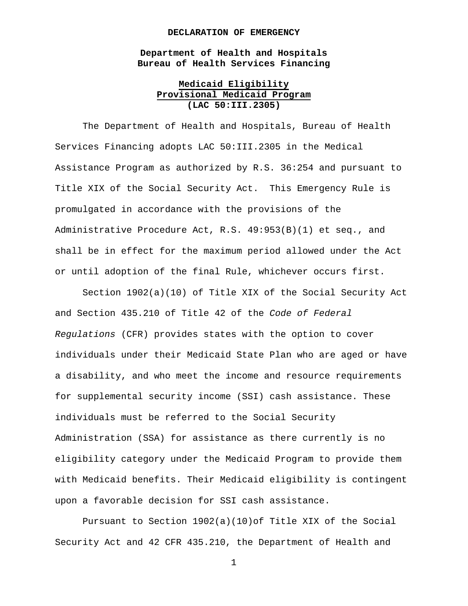#### **DECLARATION OF EMERGENCY**

**Department of Health and Hospitals Bureau of Health Services Financing**

## **Medicaid Eligibility Provisional Medicaid Program (LAC 50:III.2305)**

The Department of Health and Hospitals, Bureau of Health Services Financing adopts LAC 50:III.2305 in the Medical Assistance Program as authorized by R.S. 36:254 and pursuant to Title XIX of the Social Security Act. This Emergency Rule is promulgated in accordance with the provisions of the Administrative Procedure Act, R.S. 49:953(B)(1) et seq., and shall be in effect for the maximum period allowed under the Act or until adoption of the final Rule, whichever occurs first.

Section 1902(a)(10) of Title XIX of the Social Security Act and Section 435.210 of Title 42 of the *Code of Federal Regulations* (CFR) provides states with the option to cover individuals under their Medicaid State Plan who are aged or have a disability, and who meet the income and resource requirements for supplemental security income (SSI) cash assistance. These individuals must be referred to the Social Security Administration (SSA) for assistance as there currently is no eligibility category under the Medicaid Program to provide them with Medicaid benefits. Their Medicaid eligibility is contingent upon a favorable decision for SSI cash assistance.

Pursuant to Section  $1902(a)(10)$ of Title XIX of the Social Security Act and 42 CFR 435.210, the Department of Health and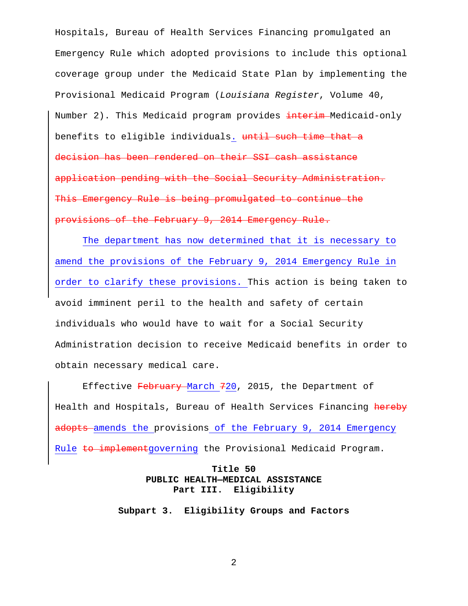Hospitals, Bureau of Health Services Financing promulgated an Emergency Rule which adopted provisions to include this optional coverage group under the Medicaid State Plan by implementing the Provisional Medicaid Program (*Louisiana Register*, Volume 40, Number 2). This Medicaid program provides interim Medicaid-only benefits to eligible individuals. until such time that a decision has been rendered on their SSI cash assistance application pending with the Social Security Administration. This Emergency Rule is being promulgated to continue the provisions of the February 9, 2014 Emergency Rule.

The department has now determined that it is necessary to amend the provisions of the February 9, 2014 Emergency Rule in order to clarify these provisions. This action is being taken to avoid imminent peril to the health and safety of certain individuals who would have to wait for a Social Security Administration decision to receive Medicaid benefits in order to obtain necessary medical care.

Effective February March 720, 2015, the Department of Health and Hospitals, Bureau of Health Services Financing hereby adopts amends the provisions of the February 9, 2014 Emergency Rule to implementgoverning the Provisional Medicaid Program.

# **Title 50 PUBLIC HEALTH—MEDICAL ASSISTANCE Part III. Eligibility**

**Subpart 3. Eligibility Groups and Factors**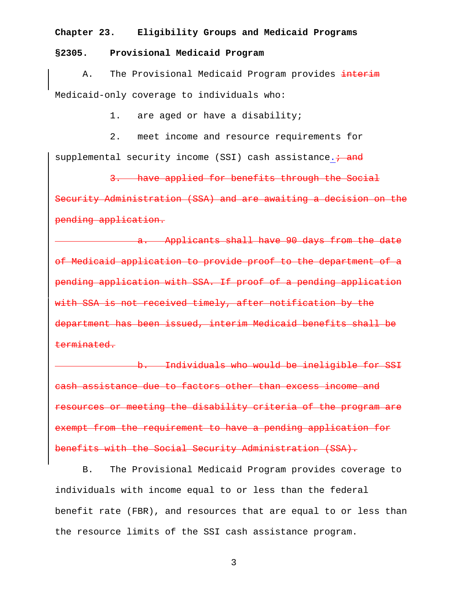### **Chapter 23. Eligibility Groups and Medicaid Programs**

### **§2305. Provisional Medicaid Program**

A. The Provisional Medicaid Program provides interim Medicaid-only coverage to individuals who:

1. are aged or have a disability;

2. meet income and resource requirements for supplemental security income (SSI) cash assistance. + and

3. have applied for benefits through the Social Security Administration (SSA) and are awaiting a decision on the pending application.

a. Applicants shall have 90 days from the date of Medicaid application to provide proof to the department of a pending application with SSA. If proof of a pending application with SSA is not received timely, after notification by the department has been issued, interim Medicaid benefits shall be terminated.

b. Individuals who would be ineligible for SSI cash assistance due to factors other than excess income and resources or meeting the disability criteria of the program are exempt from the requirement to have a pending application for benefits with the Social Security Administration (SSA).

B. The Provisional Medicaid Program provides coverage to individuals with income equal to or less than the federal benefit rate (FBR), and resources that are equal to or less than the resource limits of the SSI cash assistance program.